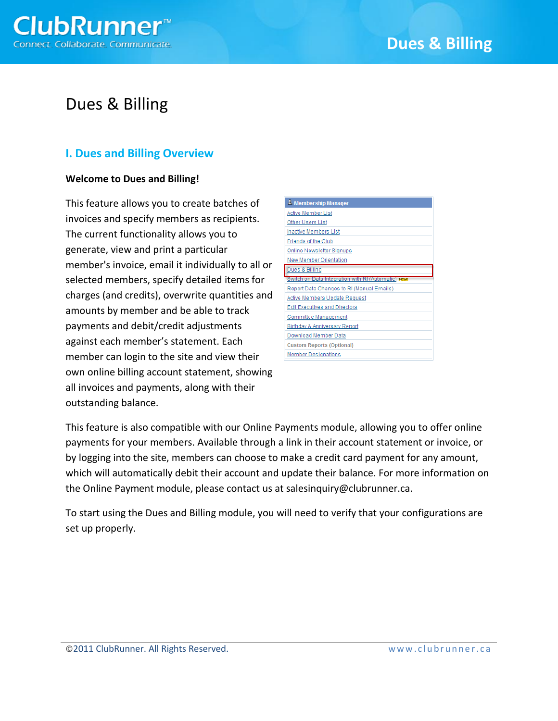

## **I. Dues and Billing Overview**

### **Welcome to Dues and Billing!**

This feature allows you to create batches of invoices and specify members as recipients. The current functionality allows you to generate, view and print a particular member's invoice, email it individually to all or selected members, specify detailed items for charges (and credits), overwrite quantities and amounts by member and be able to track payments and debit/credit adjustments against each member's statement. Each member can login to the site and view their own online billing account statement, showing all invoices and payments, along with their outstanding balance.

| Membership Manager                                  |
|-----------------------------------------------------|
| Active Member List                                  |
| Other Users List                                    |
| <b>Inactive Members List</b>                        |
| Friends of the Club                                 |
| Online Newsletter Signups                           |
| New Member Orientation                              |
|                                                     |
| Dues & Billing                                      |
| Switch on Data Integration with RI (Automatic) NEW! |
| Report Data Changes to RI (Manual Emails)           |
| Active Members Update Request                       |
| <b>Edit Executives and Directors</b>                |
| Committee Management                                |
| Birthday & Anniversary Report                       |
| Download Member Data                                |
| <b>Custom Reports (Optional)</b>                    |
| <b>Member Designations</b>                          |

This feature is also compatible with our Online Payments module, allowing you to offer online payments for your members. Available through a link in their account statement or invoice, or by logging into the site, members can choose to make a credit card payment for any amount, which will automatically debit their account and update their balance. For more information on the Online Payment module, please contact us at salesinquiry@clubrunner.ca.

To start using the Dues and Billing module, you will need to verify that your configurations are set up properly.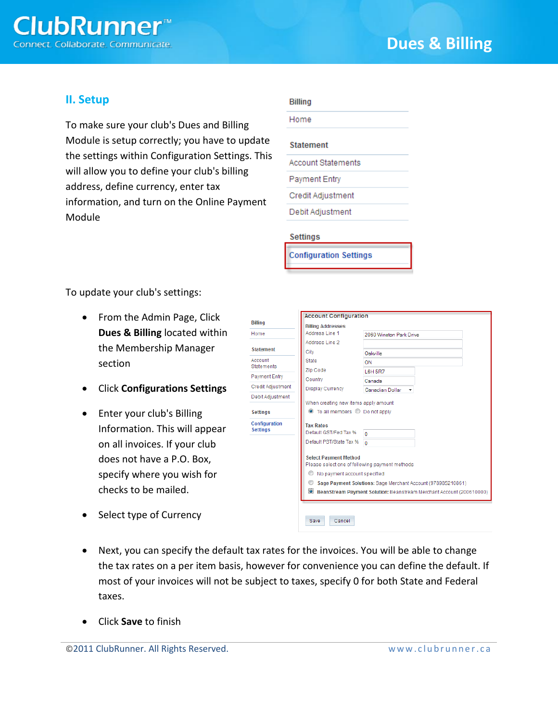

## **II. Setup**

To make sure your club's Dues and Billing Module is setup correctly; you have to update the settings within Configuration Settings. This will allow you to define your club's billing address, define currency, enter tax information, and turn on the Online Payment Module

Home

#### **Statement**

**Account Statements** 

Payment Entry

Credit Adjustment

Debit Adjustment

#### **Settings**

**Configuration Settings** 

To update your club's settings:

- From the Admin Page, Click **Dues & Billing** located within the Membership Manager section
- Click **Configurations Settings**
- Enter your club's Billing Information. This will appear on all invoices. If your club does not have a P.O. Box, specify where you wish for checks to be mailed.
- Select type of Currency

|                              | <b>Account Configuration</b>                                                   |                                                              |  |  |  |  |  |
|------------------------------|--------------------------------------------------------------------------------|--------------------------------------------------------------|--|--|--|--|--|
| <b>Billing</b>               | <b>Billing Addresses</b>                                                       |                                                              |  |  |  |  |  |
| Home                         | Address Line 1                                                                 | 2060 Winston Park Drive                                      |  |  |  |  |  |
|                              | Address Line 2                                                                 |                                                              |  |  |  |  |  |
| <b>Statement</b>             | City                                                                           | Oakville                                                     |  |  |  |  |  |
| Account<br><b>Statements</b> | <b>State</b>                                                                   | ON                                                           |  |  |  |  |  |
|                              | Zip Code                                                                       | <b>L6H 5R7</b>                                               |  |  |  |  |  |
| <b>Payment Entry</b>         | Country                                                                        | Canada                                                       |  |  |  |  |  |
| Credit Adjustment            | <b>Display Currency</b>                                                        | <b>Canadian Dollar</b>                                       |  |  |  |  |  |
| Debit Adjustment             | When creating new items apply amount                                           |                                                              |  |  |  |  |  |
| <b>Settings</b>              | ● To all members ● Do not apply                                                |                                                              |  |  |  |  |  |
| Configuration                | <b>Tax Rates</b>                                                               |                                                              |  |  |  |  |  |
| <b>Settings</b>              | Default GST/Fed Tax %                                                          | n                                                            |  |  |  |  |  |
|                              | Default PST/State Tax %                                                        | $\Omega$                                                     |  |  |  |  |  |
|                              | <b>Select Payment Method</b><br>Please select one of following payment methods |                                                              |  |  |  |  |  |
|                              | M<br>No payment account specified                                              |                                                              |  |  |  |  |  |
|                              | ⊙                                                                              | Sage Payment Solutions: Sage Merchant Account (978985210861) |  |  |  |  |  |
|                              | Bean Stream Payment Solution: Beanstream Merchant Account (200610000)          |                                                              |  |  |  |  |  |
|                              |                                                                                |                                                              |  |  |  |  |  |
|                              | Cancel<br>Save                                                                 |                                                              |  |  |  |  |  |

- Next, you can specify the default tax rates for the invoices. You will be able to change the tax rates on a per item basis, however for convenience you can define the default. If most of your invoices will not be subject to taxes, specify 0 for both State and Federal taxes.
- Click **Save** to finish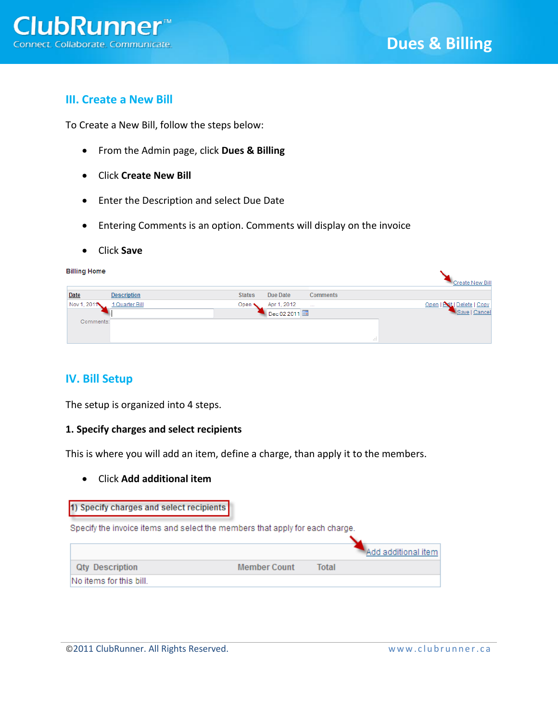## **III. Create a New Bill**

To Create a New Bill, follow the steps below:

- From the Admin page, click **Dues & Billing**
- Click **Create New Bill**
- Enter the Description and select Due Date
- Entering Comments is an option. Comments will display on the invoice
- Click **Save**

| <b>Billing Home</b> |                    |               |             |                 |    | Create New Bill             |
|---------------------|--------------------|---------------|-------------|-----------------|----|-----------------------------|
| Date                | <b>Description</b> | <b>Status</b> | Due Date    | <b>Comments</b> |    |                             |
| Nov 1, 2011         | 1 Quarter Bill     | Open *        | Apr 1, 2012 | $\cdots$        |    | Open   Evit   Delete   Copy |
|                     |                    |               | Dec 02 2011 |                 |    | Save   Cancel               |
| Comments:           |                    |               |             |                 |    |                             |
|                     |                    |               |             |                 |    |                             |
|                     |                    |               |             |                 | ú. |                             |

## **IV. Bill Setup**

The setup is organized into 4 steps.

### **1. Specify charges and select recipients**

This is where you will add an item, define a charge, than apply it to the members.

Click **Add additional item**

#### 1) Specify charges and select recipients

Specify the invoice items and select the members that apply for each charge.

|                         |                     |       | Add additional item |
|-------------------------|---------------------|-------|---------------------|
| <b>Qty Description</b>  | <b>Member Count</b> | Total |                     |
| No items for this bill. |                     |       |                     |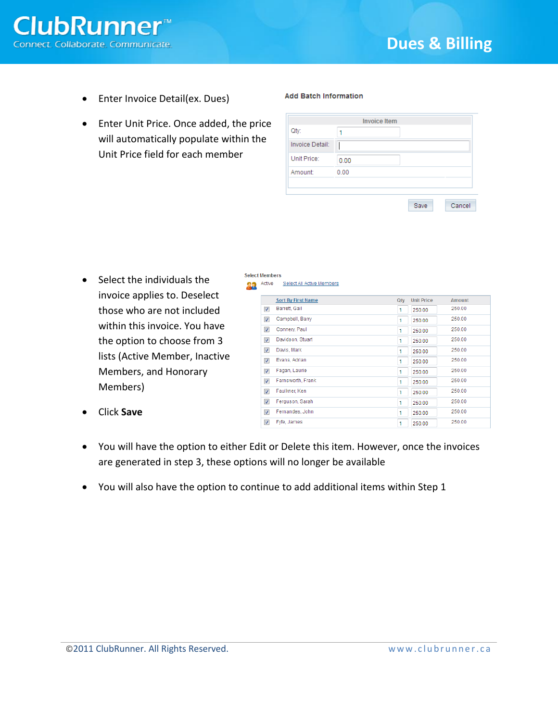• Enter Invoice Detail(ex. Dues)

**ClubRunner**<sup>™</sup>

nect. Collaborate. Communicate.

 Enter Unit Price. Once added, the price will automatically populate within the Unit Price field for each member

#### **Add Batch Information**

|                 |      | <b>Invoice Item</b> |      |        |
|-----------------|------|---------------------|------|--------|
| Qty:            | 1    |                     |      |        |
| Invoice Detail: |      |                     |      |        |
| Unit Price:     | 0.00 |                     |      |        |
| Amount:         | 0.00 |                     |      |        |
|                 |      |                     |      |        |
|                 |      |                     |      |        |
|                 |      |                     | Save | Cancel |

Qty Unit Price

 $1 \t 250.00$ 

 $1 \t 250.00$ 

 $1 \overline{250.00}$ 

 $1 \overline{)250.00}$ 

 $1 \t 250.00$ 

 $1 \t 250.00$ 

 $1 \overline{250.00}$ 

 $\overline{1}$ 250.00

250.00

250.00

250.00

 $\overline{1}$ 

 $\vert$ 1

Amount

250.00

250.00

250.00

250.00

250.00

250.00

250.00

250.00

250.00

250.00

250.00

• Select the individuals the invoice applies to. Deselect those who are not included within this invoice. You have the option to choose from 3 lists (Active Member, Inactive Members, and Honorary Members)

| Click Save |
|------------|
|            |

- V Fyfe, James 250.00  $1<sup>1</sup>$ 250.00 You will have the option to either Edit or Delete this item. However, once the invoices are generated in step 3, these options will no longer be available
- You will also have the option to continue to add additional items within Step 1

**Select Members** 

**Active** Select All Active Members **Sort By First Name** 

**Darrett**, Gail

Campbell, Barry

Davidson, Stuart

Connery, Paul

Davis, Mark

**V** Evans, Adrian

Fagan, Laurie

Faulkner, Ken

Ferguson, Sarah

Fernandes, John

**V** Farnsworth, Frank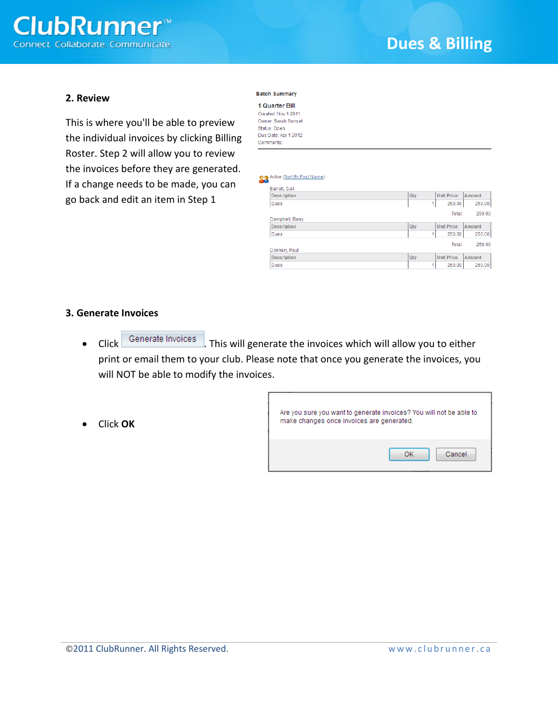

#### **2. Review**

This is where you'll be able to preview the individual invoices by clicking Billing Roster. Step 2 will allow you to review the invoices before they are generated. If a change needs to be made, you can go back and edit an item in Step 1

#### **Batch Summary**

| 1 Quarter Bill       |
|----------------------|
| Created: Nov 1 2011  |
| Owner: Sarah Sunset  |
| Status: Open         |
| Due Date: Apr 1 2012 |
| Comments:            |

#### **Active (Sort By First Name)**

| Barrett, Gail      |     |                   |               |
|--------------------|-----|-------------------|---------------|
| <b>Description</b> | Qty | <b>Unit Price</b> | <b>Amount</b> |
| Dues               | 4   | 250.00            | 250.00        |
|                    |     | Total:            | 250.00        |
| Campbell, Barry    |     |                   |               |
| <b>Description</b> | Qty | <b>Unit Price</b> | Amount        |
| <b>Dues</b>        | 4   | 250.00            | 250.00        |
|                    |     | Total:            | 250.00        |
| Connery, Paul      |     |                   |               |
| <b>Description</b> | Qty | <b>Unit Price</b> | Amount        |
| <b>Dues</b>        | ۸   | 250.00            | 250.00        |

#### **3. Generate Invoices**

Click **Generate Invoices** . This will generate the invoices which will allow you to either print or email them to your club. Please note that once you generate the invoices, you will NOT be able to modify the invoices.

Click **OK**

| Are you sure you want to generate invoices? You will not be able to<br>make changes once invoices are generated. |              |
|------------------------------------------------------------------------------------------------------------------|--------------|
|                                                                                                                  | Cancel<br>ΩK |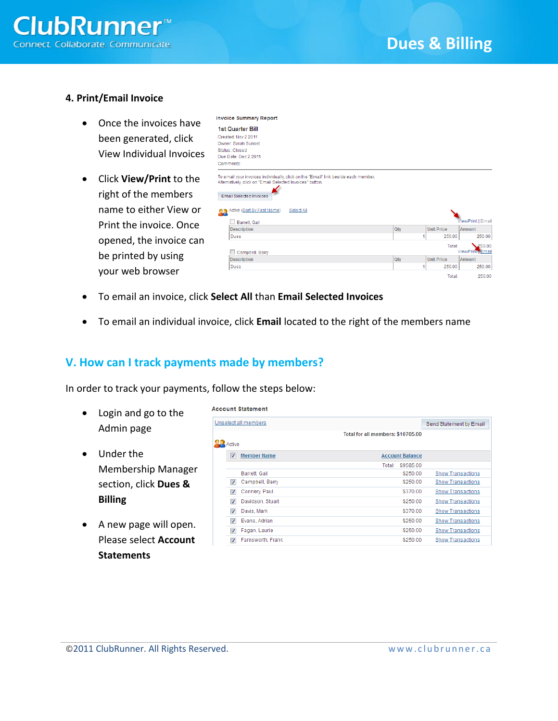

### **4. Print/Email Invoice**

- Once the invoices have been generated, click View Individual Invoices
- Click **View/Print** to the right of the members name to either View or Print the invoice. Once opened, the invoice can be printed by using your web browser

| <b>1st Quarter Bill</b>                                                                                                                                                                                                                         |     |   |                   |                               |
|-------------------------------------------------------------------------------------------------------------------------------------------------------------------------------------------------------------------------------------------------|-----|---|-------------------|-------------------------------|
| Created: Nov 2 2011                                                                                                                                                                                                                             |     |   |                   |                               |
| Owner: Sarah Sunset                                                                                                                                                                                                                             |     |   |                   |                               |
| Status: Closed                                                                                                                                                                                                                                  |     |   |                   |                               |
| Due Date: Dec 2 2011<br>Comments:                                                                                                                                                                                                               |     |   |                   |                               |
|                                                                                                                                                                                                                                                 |     |   |                   |                               |
| To email your invoices individually, click on the "Email" link beside each member.<br>Alternatively, click on "Email Selected Invoices" button.<br><b>Email Selected Invoices</b><br>Active (Sort By First Name)<br>Select All<br>Barrett, Gail |     |   |                   | <b>View/Print   Email</b>     |
| <b>Description</b>                                                                                                                                                                                                                              | Qty |   | <b>Unit Price</b> | Amount                        |
| Dues                                                                                                                                                                                                                                            |     | 1 | 250.00            | 250.00                        |
|                                                                                                                                                                                                                                                 |     |   | Total:            | 250.00                        |
| Campbell, Barry                                                                                                                                                                                                                                 |     |   |                   | View/Print <sub>T</sub> Email |
| <b>Description</b>                                                                                                                                                                                                                              | Qtv |   | <b>Unit Price</b> | <b>Amount</b>                 |
| <b>Dues</b>                                                                                                                                                                                                                                     |     | 1 | 250.00            | 250.00                        |
|                                                                                                                                                                                                                                                 |     |   | Total:            | 250.00                        |

To email an invoice, click **Select All** than **Email Selected Invoices**

**Invoice Summary Report** 

To email an individual invoice, click **Email** located to the right of the members name

## **V. How can I track payments made by members?**

In order to track your payments, follow the steps below:

- Login and go to the Admin page
- Under the Membership Manager section, click **Dues & Billing**
- A new page will open. Please select **Account Statements**

|                      |                         | <b>Account Statement</b> |                                   |           |                          |
|----------------------|-------------------------|--------------------------|-----------------------------------|-----------|--------------------------|
| Unselect all members |                         |                          | Send Statement by Email           |           |                          |
|                      |                         |                          | Total for all members: \$10705.00 |           |                          |
|                      | Active                  |                          |                                   |           |                          |
|                      | V                       | <b>Member Name</b>       | <b>Account Balance</b>            |           |                          |
|                      |                         |                          | Total:                            | \$9585.00 |                          |
|                      |                         | Barrett, Gail            |                                   | \$250.00  | <b>Show Transactions</b> |
|                      | $\overline{\mathsf{v}}$ | Campbell, Barry          |                                   | \$250.00  | <b>Show Transactions</b> |
|                      | $\overline{\mathbf{v}}$ | Connery, Paul            |                                   | \$370.00  | <b>Show Transactions</b> |
|                      | $\overline{\mathsf{v}}$ | Davidson, Stuart         |                                   | \$250.00  | <b>Show Transactions</b> |
|                      | ⊽                       | Davis, Mark              |                                   | \$370.00  | <b>Show Transactions</b> |
|                      | $\overline{\mathsf{v}}$ | Evans, Adrian            |                                   | \$250.00  | <b>Show Transactions</b> |
|                      | ⊽                       | Fagan, Laurie            |                                   | \$250.00  | <b>Show Transactions</b> |
|                      | ⊽                       | Farnsworth, Frank        |                                   | \$250.00  | <b>Show Transactions</b> |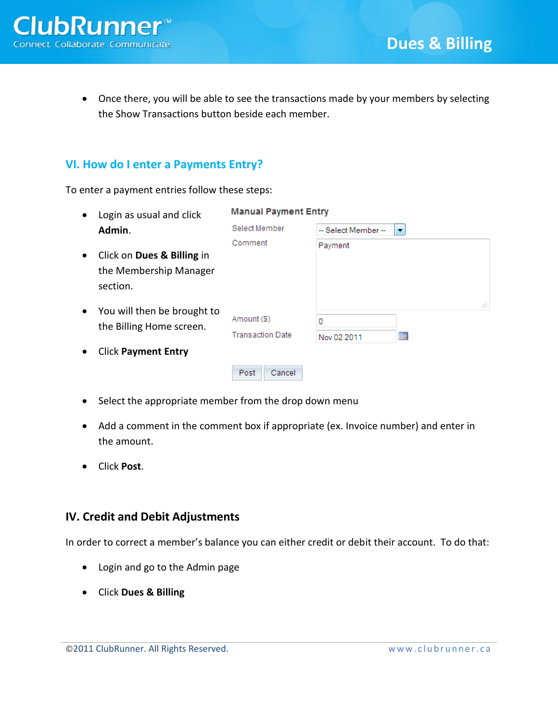Once there, you will be able to see the transactions made by your members by selecting the Show Transactions button beside each member.

## **VI. How do I enter a Payments Entry?**

To enter a payment entries follow these steps:

| $\bullet$ | Login as usual and click                                         | <b>Manual Payment Entry</b>            |                                             |                   |
|-----------|------------------------------------------------------------------|----------------------------------------|---------------------------------------------|-------------------|
|           | Admin.                                                           | Select Member                          | -- Select Member --<br>$\blacktriangledown$ |                   |
| $\bullet$ | Click on Dues & Billing in<br>the Membership Manager<br>section. | Comment                                | Payment                                     |                   |
| $\bullet$ | You will then be brought to<br>the Billing Home screen.          | Amount (\$)<br><b>Transaction Date</b> | 0<br>Nov 02 2011                            | ai.<br><b>THE</b> |
| $\bullet$ | <b>Click Payment Entry</b>                                       |                                        |                                             |                   |
|           |                                                                  | Cancel<br>Post                         |                                             |                   |

- Select the appropriate member from the drop down menu
- Add a comment in the comment box if appropriate (ex. Invoice number) and enter in the amount.
- Click **Post**.

## **IV. Credit and Debit Adjustments**

In order to correct a member's balance you can either credit or debit their account. To do that:

- Login and go to the Admin page
- Click **Dues & Billing**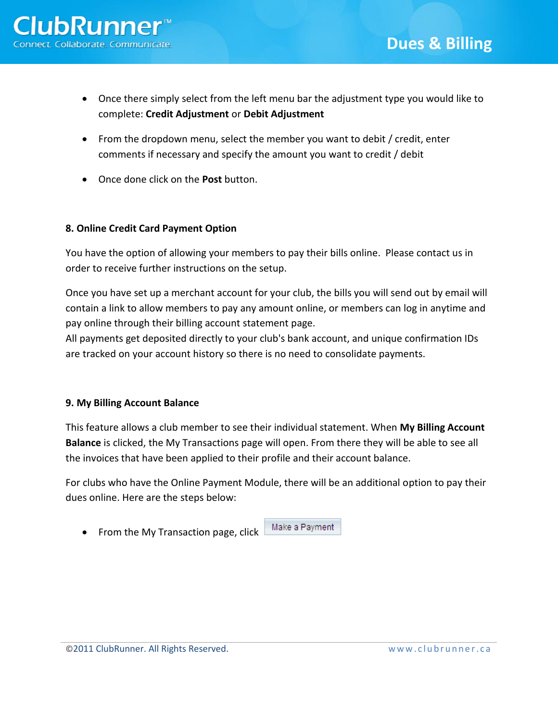- Once there simply select from the left menu bar the adjustment type you would like to complete: **Credit Adjustment** or **Debit Adjustment**
- From the dropdown menu, select the member you want to debit / credit, enter comments if necessary and specify the amount you want to credit / debit
- Once done click on the **Post** button.

## **8. Online Credit Card Payment Option**

You have the option of allowing your members to pay their bills online. Please contact us in order to receive further instructions on the setup.

Once you have set up a merchant account for your club, the bills you will send out by email will contain a link to allow members to pay any amount online, or members can log in anytime and pay online through their billing account statement page.

All payments get deposited directly to your club's bank account, and unique confirmation IDs are tracked on your account history so there is no need to consolidate payments.

### **9. My Billing Account Balance**

This feature allows a club member to see their individual statement. When **My Billing Account Balance** is clicked, the My Transactions page will open. From there they will be able to see all the invoices that have been applied to their profile and their account balance.

For clubs who have the Online Payment Module, there will be an additional option to pay their dues online. Here are the steps below:

• From the My Transaction page, click

Make a Payment